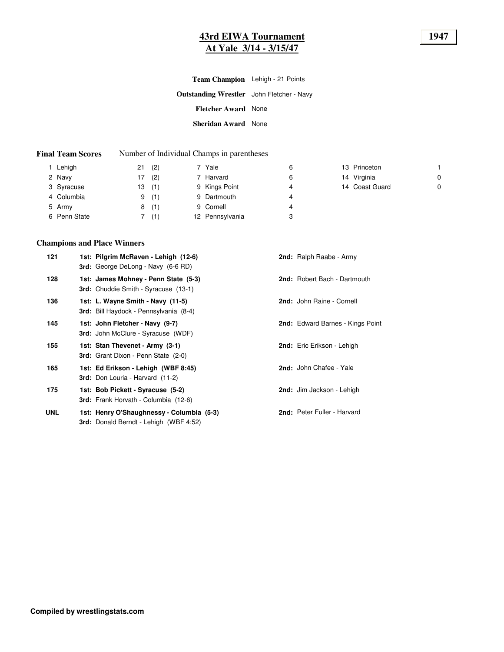## **43rd EIWA Tournament 1947 At Yale 3/14 - 3/15/47**

**Outstanding Wrestler** John Fletcher - Navy **Fletcher Award** None **Sheridan Award** None **Team Champion** Lehigh - 21 Points

#### **Final Team Scores** Number of Individual Champs in parentheses

| Lehigh       | (2)<br>21 | 7 Yale          | 6 | 13 Princeton   |   |
|--------------|-----------|-----------------|---|----------------|---|
| 2 Navy       | (2)<br>7  | 7 Harvard       | 6 | 14 Virginia    | 0 |
| 3 Syracuse   | (1)<br>13 | 9 Kings Point   | 4 | 14 Coast Guard | 0 |
| 4 Columbia   | (1)<br>9  | 9 Dartmouth     | 4 |                |   |
| 5 Army       | (1)<br>8  | 9 Cornell       | 4 |                |   |
| 6 Penn State | (1)       | 12 Pennsylvania | 3 |                |   |

#### **Champions and Place Winners**

| 121 | 1st: Pilgrim McRaven - Lehigh (12-6)<br><b>3rd:</b> George DeLong - Navy (6-6 RD)          | 2nd: Ralph Raabe - Army           |
|-----|--------------------------------------------------------------------------------------------|-----------------------------------|
| 128 | 1st: James Mohney - Penn State (5-3)<br><b>3rd:</b> Chuddie Smith - Syracuse (13-1)        | 2nd: Robert Bach - Dartmouth      |
| 136 | 1st: L. Wayne Smith - Navy (11-5)<br><b>3rd:</b> Bill Haydock - Pennsylvania (8-4)         | 2nd: John Raine - Cornell         |
| 145 | 1st: John Fletcher - Navy (9-7)<br><b>3rd:</b> John McClure - Syracuse (WDF)               | 2nd: Edward Barnes - Kings Point  |
| 155 | 1st: Stan Thevenet - Army (3-1)<br><b>3rd:</b> Grant Dixon - Penn State (2-0)              | <b>2nd:</b> Eric Erikson - Lehigh |
| 165 | 1st: Ed Erikson - Lehigh (WBF 8:45)<br><b>3rd:</b> Don Louria - Harvard (11-2)             | 2nd: John Chafee - Yale           |
| 175 | 1st: Bob Pickett - Syracuse (5-2)<br><b>3rd:</b> Frank Horvath - Columbia (12-6)           | 2nd: Jim Jackson - Lehigh         |
| UNL | 1st: Henry O'Shaughnessy - Columbia (5-3)<br><b>3rd:</b> Donald Berndt - Lehigh (WBF 4:52) | 2nd: Peter Fuller - Harvard       |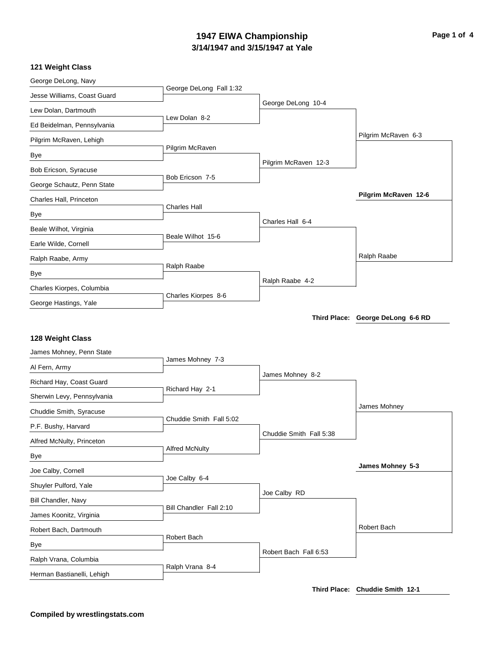## **3/14/1947 and 3/15/1947 at Yale 1947 EIWA Championship Page 1 of 4**

## **121 Weight Class**

| George DeLong, Navy                                 |                         |                         |                                   |
|-----------------------------------------------------|-------------------------|-------------------------|-----------------------------------|
| Jesse Williams, Coast Guard                         | George DeLong Fall 1:32 |                         |                                   |
| Lew Dolan, Dartmouth                                |                         | George DeLong 10-4      |                                   |
| Ed Beidelman, Pennsylvania                          | Lew Dolan 8-2           |                         |                                   |
| Pilgrim McRaven, Lehigh                             |                         |                         | Pilgrim McRaven 6-3               |
| Bye                                                 | Pilgrim McRaven         |                         |                                   |
| Bob Ericson, Syracuse                               |                         | Pilgrim McRaven 12-3    |                                   |
| George Schautz, Penn State                          | Bob Ericson 7-5         |                         |                                   |
| Charles Hall, Princeton                             |                         |                         | Pilgrim McRaven 12-6              |
|                                                     | <b>Charles Hall</b>     |                         |                                   |
| Bye                                                 |                         | Charles Hall 6-4        |                                   |
| Beale Wilhot, Virginia                              | Beale Wilhot 15-6       |                         |                                   |
| Earle Wilde, Cornell                                |                         |                         |                                   |
| Ralph Raabe, Army                                   | Ralph Raabe             |                         | Ralph Raabe                       |
| Bye                                                 |                         | Ralph Raabe 4-2         |                                   |
| Charles Kiorpes, Columbia                           | Charles Kiorpes 8-6     |                         |                                   |
| George Hastings, Yale                               |                         |                         |                                   |
|                                                     |                         |                         | Third Place: George DeLong 6-6 RD |
| 128 Weight Class                                    |                         |                         |                                   |
| James Mohney, Penn State                            |                         |                         |                                   |
|                                                     | James Mohney 7-3        |                         |                                   |
| Al Fern, Army                                       |                         | James Mohney 8-2        |                                   |
| Richard Hay, Coast Guard                            | Richard Hay 2-1         |                         |                                   |
| Sherwin Levy, Pennsylvania                          |                         |                         | James Mohney                      |
| Chuddie Smith, Syracuse                             | Chuddie Smith Fall 5:02 |                         |                                   |
| P.F. Bushy, Harvard                                 |                         | Chuddie Smith Fall 5:38 |                                   |
| Alfred McNulty, Princeton                           | <b>Alfred McNulty</b>   |                         |                                   |
| Bye                                                 |                         |                         |                                   |
| Joe Calby, Cornell                                  |                         |                         | James Mohney 5-3                  |
| Shuyler Pulford, Yale                               | Joe Calby 6-4           |                         |                                   |
| <b>Bill Chandler, Navy</b>                          |                         | Joe Calby RD            |                                   |
| James Koonitz, Virginia                             | Bill Chandler Fall 2:10 |                         |                                   |
|                                                     |                         |                         |                                   |
| Robert Bach, Dartmouth                              |                         |                         | Robert Bach                       |
|                                                     | Robert Bach             |                         |                                   |
| Bye                                                 |                         | Robert Bach Fall 6:53   |                                   |
| Ralph Vrana, Columbia<br>Herman Bastianelli, Lehigh | Ralph Vrana 8-4         |                         |                                   |

**Third Place: Chuddie Smith 12-1**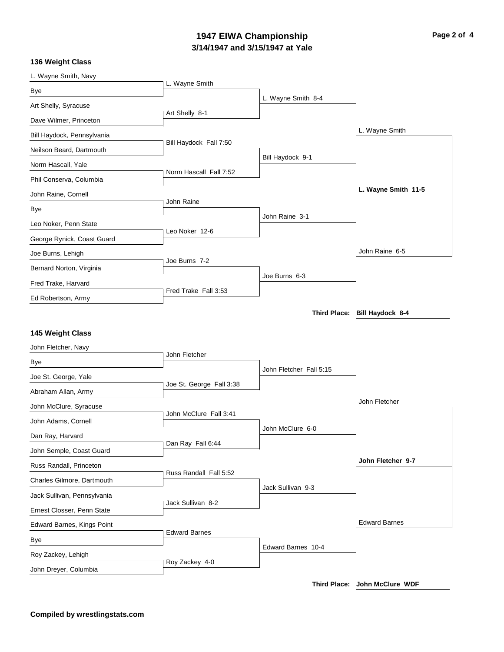## **3/14/1947 and 3/15/1947 at Yale 1947 EIWA Championship Page 2 of 4**

### **136 Weight Class**

| L. Wayne Smith, Navy                                  |                          |                         |                               |
|-------------------------------------------------------|--------------------------|-------------------------|-------------------------------|
| Bye                                                   | L. Wayne Smith           |                         |                               |
| Art Shelly, Syracuse                                  |                          | L. Wayne Smith 8-4      |                               |
| Dave Wilmer, Princeton                                | Art Shelly 8-1           |                         |                               |
| Bill Haydock, Pennsylvania                            |                          |                         | L. Wayne Smith                |
| Neilson Beard, Dartmouth                              | Bill Haydock Fall 7:50   |                         |                               |
| Norm Hascall, Yale                                    |                          | Bill Haydock 9-1        |                               |
| Phil Conserva, Columbia                               | Norm Hascall Fall 7:52   |                         |                               |
| John Raine, Cornell                                   |                          |                         | L. Wayne Smith 11-5           |
| Bye                                                   | John Raine               |                         |                               |
| Leo Noker, Penn State                                 |                          | John Raine 3-1          |                               |
| George Rynick, Coast Guard                            | Leo Noker 12-6           |                         |                               |
| Joe Burns, Lehigh                                     |                          |                         | John Raine 6-5                |
|                                                       | Joe Burns 7-2            |                         |                               |
| Bernard Norton, Virginia                              |                          | Joe Burns 6-3           |                               |
| Fred Trake, Harvard                                   | Fred Trake Fall 3:53     |                         |                               |
| Ed Robertson, Army                                    |                          |                         | Third Place: Bill Haydock 8-4 |
| 145 Weight Class<br>John Fletcher, Navy               |                          |                         |                               |
|                                                       |                          |                         |                               |
|                                                       | John Fletcher            |                         |                               |
| Bye                                                   |                          | John Fletcher Fall 5:15 |                               |
| Joe St. George, Yale                                  | Joe St. George Fall 3:38 |                         |                               |
| Abraham Allan, Army<br>John McClure, Syracuse         |                          |                         | John Fletcher                 |
|                                                       | John McClure Fall 3:41   |                         |                               |
| John Adams, Cornell                                   |                          | John McClure 6-0        |                               |
| Dan Ray, Harvard                                      | Dan Ray Fall 6:44        |                         |                               |
| John Semple, Coast Guard                              |                          |                         | John Fletcher 9-7             |
| Russ Randall, Princeton<br>Charles Gilmore, Dartmouth | Russ Randall Fall 5:52   |                         |                               |
| Jack Sullivan, Pennsylvania                           |                          | Jack Sullivan 9-3       |                               |
| Ernest Closser, Penn State                            | Jack Sullivan 8-2        |                         |                               |
| Edward Barnes, Kings Point                            |                          |                         | <b>Edward Barnes</b>          |
| Bye                                                   | <b>Edward Barnes</b>     |                         |                               |
| Roy Zackey, Lehigh                                    | Roy Zackey 4-0           | Edward Barnes 10-4      |                               |

**Third Place: John McClure WDF**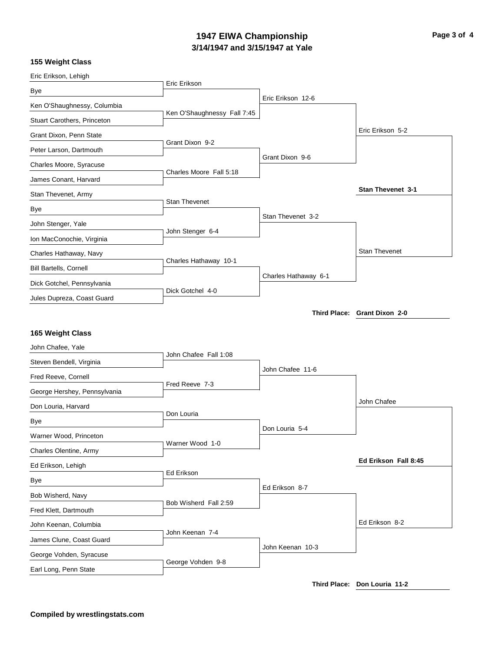# **3/14/1947 and 3/15/1947 at Yale 1947 EIWA Championship Page 3 of 4**

### **155 Weight Class**

| Eric Erikson, Lehigh          |                             |                      |                              |
|-------------------------------|-----------------------------|----------------------|------------------------------|
| Bye                           | Eric Erikson                |                      |                              |
| Ken O'Shaughnessy, Columbia   |                             | Eric Erikson 12-6    |                              |
| Stuart Carothers, Princeton   | Ken O'Shaughnessy Fall 7:45 |                      |                              |
| Grant Dixon, Penn State       |                             |                      | Eric Erikson 5-2             |
| Peter Larson, Dartmouth       | Grant Dixon 9-2             |                      |                              |
| Charles Moore, Syracuse       |                             | Grant Dixon 9-6      |                              |
| James Conant, Harvard         | Charles Moore Fall 5:18     |                      |                              |
| Stan Thevenet, Army           |                             |                      | Stan Thevenet 3-1            |
| Bye                           | Stan Thevenet               |                      |                              |
| John Stenger, Yale            |                             | Stan Thevenet 3-2    |                              |
| Ion MacConochie, Virginia     | John Stenger 6-4            |                      |                              |
| Charles Hathaway, Navy        |                             |                      | <b>Stan Thevenet</b>         |
| <b>Bill Bartells, Cornell</b> | Charles Hathaway 10-1       |                      |                              |
| Dick Gotchel, Pennsylvania    |                             | Charles Hathaway 6-1 |                              |
| Jules Dupreza, Coast Guard    | Dick Gotchel 4-0            |                      |                              |
|                               |                             |                      | Third Place: Grant Dixon 2-0 |
|                               |                             |                      |                              |
| 165 Weight Class              |                             |                      |                              |
| John Chafee, Yale             | John Chafee Fall 1:08       |                      |                              |
| Steven Bendell, Virginia      |                             | John Chafee 11-6     |                              |
| Fred Reeve, Cornell           | Fred Reeve 7-3              |                      |                              |
| George Hershey, Pennsylvania  |                             |                      | John Chafee                  |
| Don Louria, Harvard           | Don Louria                  |                      |                              |
| Bye                           |                             | Don Louria 5-4       |                              |
| Warner Wood, Princeton        | Warner Wood 1-0             |                      |                              |
| Charles Olentine, Army        |                             |                      |                              |
| Ed Erikson, Lehigh            |                             |                      | Ed Erikson Fall 8:45         |
| Bye                           | Ed Erikson                  |                      |                              |
| Bob Wisherd, Navy             |                             | Ed Erikson 8-7       |                              |
| Fred Klett, Dartmouth         | Bob Wisherd Fall 2:59       |                      |                              |
| John Keenan, Columbia         |                             |                      | Ed Erikson 8-2               |
| James Clune, Coast Guard      | John Keenan 7-4             |                      |                              |
| George Vohden, Syracuse       |                             | John Keenan 10-3     |                              |
| Earl Long, Penn State         | George Vohden 9-8           |                      |                              |
|                               |                             |                      |                              |

**Third Place: Don Louria 11-2**